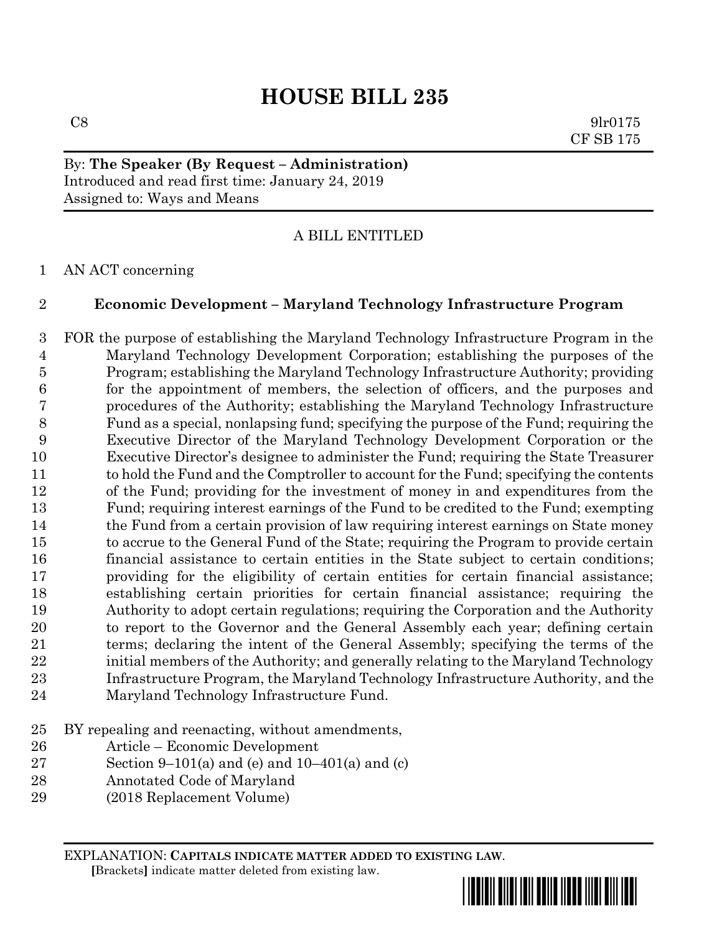# **HOUSE BILL 235**

 $\cos$  9lr0175 CF SB 175

By: **The Speaker (By Request – Administration)** Introduced and read first time: January 24, 2019 Assigned to: Ways and Means

## A BILL ENTITLED

### AN ACT concerning

### **Economic Development – Maryland Technology Infrastructure Program**

 FOR the purpose of establishing the Maryland Technology Infrastructure Program in the Maryland Technology Development Corporation; establishing the purposes of the Program; establishing the Maryland Technology Infrastructure Authority; providing for the appointment of members, the selection of officers, and the purposes and procedures of the Authority; establishing the Maryland Technology Infrastructure Fund as a special, nonlapsing fund; specifying the purpose of the Fund; requiring the Executive Director of the Maryland Technology Development Corporation or the Executive Director's designee to administer the Fund; requiring the State Treasurer 11 to hold the Fund and the Comptroller to account for the Fund; specifying the contents of the Fund; providing for the investment of money in and expenditures from the Fund; requiring interest earnings of the Fund to be credited to the Fund; exempting the Fund from a certain provision of law requiring interest earnings on State money to accrue to the General Fund of the State; requiring the Program to provide certain financial assistance to certain entities in the State subject to certain conditions; providing for the eligibility of certain entities for certain financial assistance; establishing certain priorities for certain financial assistance; requiring the Authority to adopt certain regulations; requiring the Corporation and the Authority to report to the Governor and the General Assembly each year; defining certain terms; declaring the intent of the General Assembly; specifying the terms of the initial members of the Authority; and generally relating to the Maryland Technology Infrastructure Program, the Maryland Technology Infrastructure Authority, and the Maryland Technology Infrastructure Fund.

- BY repealing and reenacting, without amendments,
- Article Economic Development
- 27 Section 9–101(a) and (e) and 10–401(a) and (c)
- Annotated Code of Maryland
- (2018 Replacement Volume)

EXPLANATION: **CAPITALS INDICATE MATTER ADDED TO EXISTING LAW**.  **[**Brackets**]** indicate matter deleted from existing law.

\*hb0235\*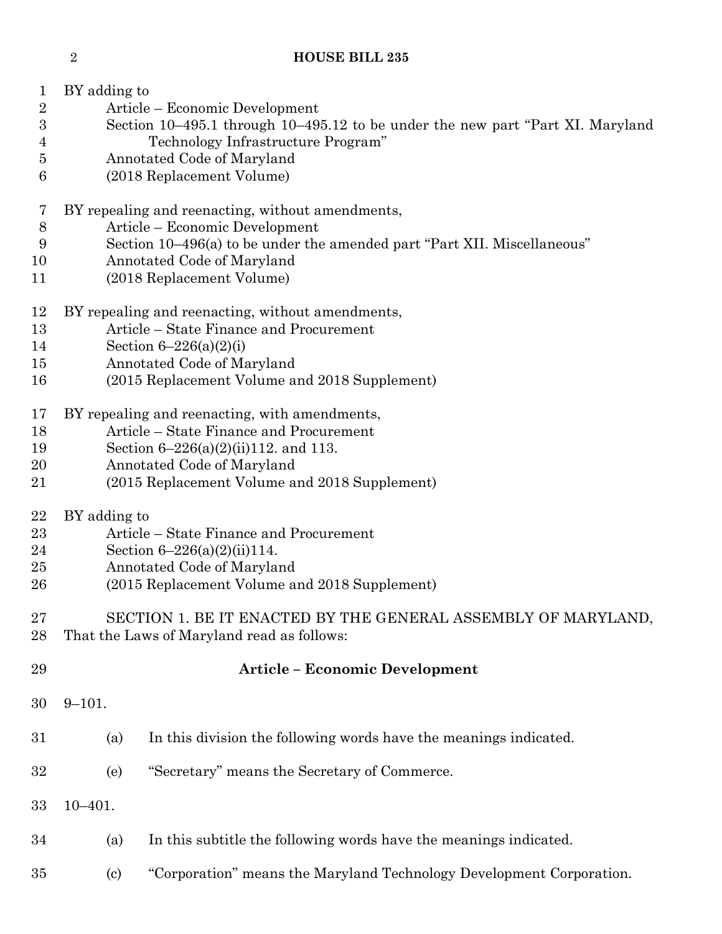# **HOUSE BILL 235**

| 1                | BY adding to                                                                   |                                                                      |  |  |  |  |  |  |
|------------------|--------------------------------------------------------------------------------|----------------------------------------------------------------------|--|--|--|--|--|--|
| $\overline{2}$   |                                                                                | Article – Economic Development                                       |  |  |  |  |  |  |
| $\boldsymbol{3}$ | Section 10-495.1 through 10-495.12 to be under the new part "Part XI. Maryland |                                                                      |  |  |  |  |  |  |
| 4                | Technology Infrastructure Program"                                             |                                                                      |  |  |  |  |  |  |
| $\overline{5}$   |                                                                                |                                                                      |  |  |  |  |  |  |
|                  | Annotated Code of Maryland                                                     |                                                                      |  |  |  |  |  |  |
| 6                |                                                                                | (2018 Replacement Volume)                                            |  |  |  |  |  |  |
| $\bf 7$          |                                                                                | BY repealing and reenacting, without amendments,                     |  |  |  |  |  |  |
| 8                | Article - Economic Development                                                 |                                                                      |  |  |  |  |  |  |
| 9                | Section 10–496(a) to be under the amended part "Part XII. Miscellaneous"       |                                                                      |  |  |  |  |  |  |
| 10               |                                                                                | Annotated Code of Maryland                                           |  |  |  |  |  |  |
| 11               |                                                                                | (2018 Replacement Volume)                                            |  |  |  |  |  |  |
|                  |                                                                                |                                                                      |  |  |  |  |  |  |
| 12               | BY repealing and reenacting, without amendments,                               |                                                                      |  |  |  |  |  |  |
| 13               |                                                                                | Article - State Finance and Procurement                              |  |  |  |  |  |  |
| 14               |                                                                                | Section $6 - 226(a)(2)(i)$                                           |  |  |  |  |  |  |
| 15               |                                                                                | Annotated Code of Maryland                                           |  |  |  |  |  |  |
| 16               |                                                                                | (2015 Replacement Volume and 2018 Supplement)                        |  |  |  |  |  |  |
| 17               |                                                                                | BY repealing and reenacting, with amendments,                        |  |  |  |  |  |  |
|                  |                                                                                | Article – State Finance and Procurement                              |  |  |  |  |  |  |
| 18               |                                                                                |                                                                      |  |  |  |  |  |  |
| 19               | Section $6-226(a)(2)(ii)112$ , and 113.                                        |                                                                      |  |  |  |  |  |  |
| 20               |                                                                                | Annotated Code of Maryland                                           |  |  |  |  |  |  |
| 21               |                                                                                | (2015 Replacement Volume and 2018 Supplement)                        |  |  |  |  |  |  |
| $\bf{22}$        | BY adding to                                                                   |                                                                      |  |  |  |  |  |  |
| 23               |                                                                                | Article – State Finance and Procurement                              |  |  |  |  |  |  |
| 24               | Section $6-226(a)(2)(ii)114.$                                                  |                                                                      |  |  |  |  |  |  |
| 25               |                                                                                | Annotated Code of Maryland                                           |  |  |  |  |  |  |
| 26               |                                                                                | (2015 Replacement Volume and 2018 Supplement)                        |  |  |  |  |  |  |
|                  |                                                                                |                                                                      |  |  |  |  |  |  |
| 27               |                                                                                | SECTION 1. BE IT ENACTED BY THE GENERAL ASSEMBLY OF MARYLAND,        |  |  |  |  |  |  |
| 28               | That the Laws of Maryland read as follows:                                     |                                                                      |  |  |  |  |  |  |
| 29               |                                                                                | <b>Article - Economic Development</b>                                |  |  |  |  |  |  |
|                  |                                                                                |                                                                      |  |  |  |  |  |  |
| 30               | $9 - 101.$                                                                     |                                                                      |  |  |  |  |  |  |
| 31               | (a)                                                                            | In this division the following words have the meanings indicated.    |  |  |  |  |  |  |
|                  |                                                                                |                                                                      |  |  |  |  |  |  |
| 32               | (e)                                                                            | "Secretary" means the Secretary of Commerce.                         |  |  |  |  |  |  |
| 33               | $10 - 401.$                                                                    |                                                                      |  |  |  |  |  |  |
|                  |                                                                                |                                                                      |  |  |  |  |  |  |
| 34               | (a)                                                                            | In this subtitle the following words have the meanings indicated.    |  |  |  |  |  |  |
| 35               | $\left( \mathrm{c} \right)$                                                    | "Corporation" means the Maryland Technology Development Corporation. |  |  |  |  |  |  |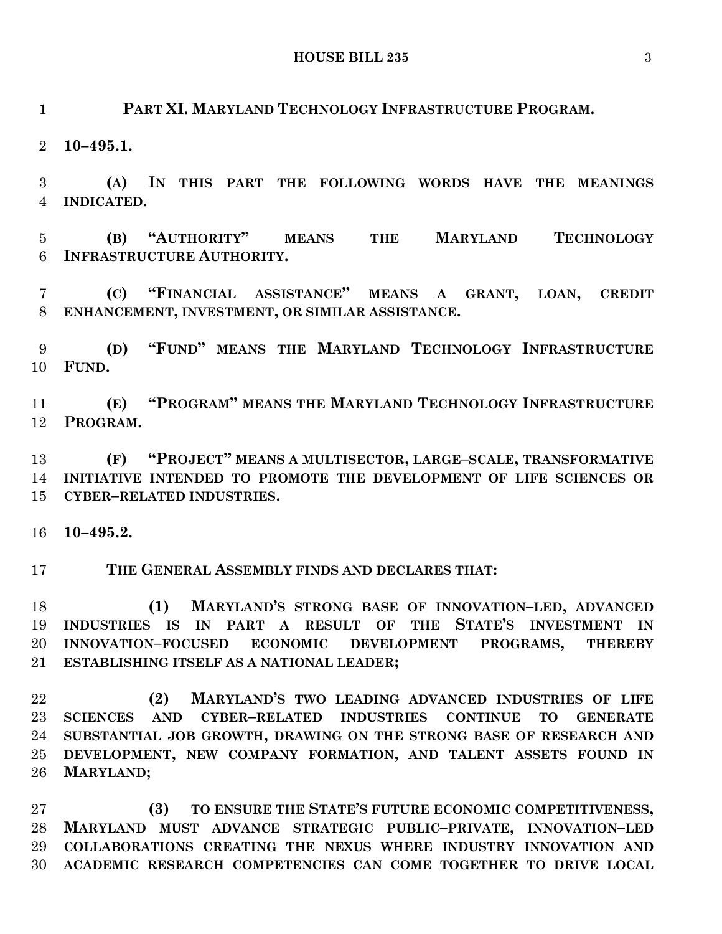**PART XI. MARYLAND TECHNOLOGY INFRASTRUCTURE PROGRAM.**

**10–495.1.**

 **(A) IN THIS PART THE FOLLOWING WORDS HAVE THE MEANINGS INDICATED.**

 **(B) "AUTHORITY" MEANS THE MARYLAND TECHNOLOGY INFRASTRUCTURE AUTHORITY.**

 **(C) "FINANCIAL ASSISTANCE" MEANS A GRANT, LOAN, CREDIT ENHANCEMENT, INVESTMENT, OR SIMILAR ASSISTANCE.**

 **(D) "FUND" MEANS THE MARYLAND TECHNOLOGY INFRASTRUCTURE FUND.**

 **(E) "PROGRAM" MEANS THE MARYLAND TECHNOLOGY INFRASTRUCTURE PROGRAM.**

 **(F) "PROJECT" MEANS A MULTISECTOR, LARGE–SCALE, TRANSFORMATIVE INITIATIVE INTENDED TO PROMOTE THE DEVELOPMENT OF LIFE SCIENCES OR CYBER–RELATED INDUSTRIES.**

**10–495.2.**

**THE GENERAL ASSEMBLY FINDS AND DECLARES THAT:**

 **(1) MARYLAND'S STRONG BASE OF INNOVATION–LED, ADVANCED INDUSTRIES IS IN PART A RESULT OF THE STATE'S INVESTMENT IN INNOVATION–FOCUSED ECONOMIC DEVELOPMENT PROGRAMS, THEREBY ESTABLISHING ITSELF AS A NATIONAL LEADER;**

 **(2) MARYLAND'S TWO LEADING ADVANCED INDUSTRIES OF LIFE SCIENCES AND CYBER–RELATED INDUSTRIES CONTINUE TO GENERATE SUBSTANTIAL JOB GROWTH, DRAWING ON THE STRONG BASE OF RESEARCH AND DEVELOPMENT, NEW COMPANY FORMATION, AND TALENT ASSETS FOUND IN MARYLAND;**

 **(3) TO ENSURE THE STATE'S FUTURE ECONOMIC COMPETITIVENESS, MARYLAND MUST ADVANCE STRATEGIC PUBLIC–PRIVATE, INNOVATION–LED COLLABORATIONS CREATING THE NEXUS WHERE INDUSTRY INNOVATION AND ACADEMIC RESEARCH COMPETENCIES CAN COME TOGETHER TO DRIVE LOCAL**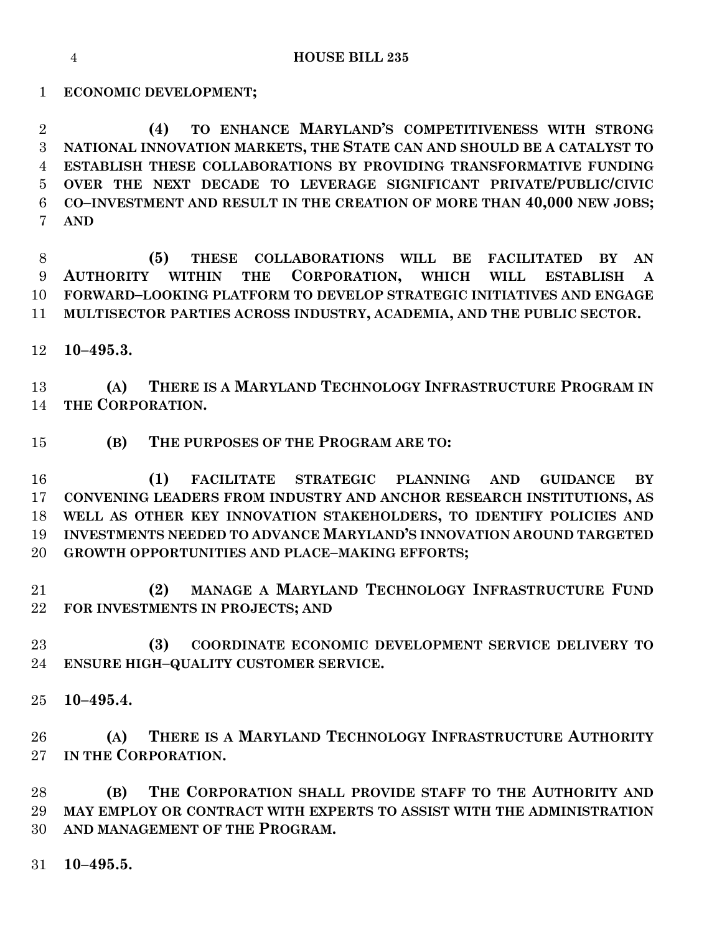**HOUSE BILL 235**

**ECONOMIC DEVELOPMENT;**

 **(4) TO ENHANCE MARYLAND'S COMPETITIVENESS WITH STRONG NATIONAL INNOVATION MARKETS, THE STATE CAN AND SHOULD BE A CATALYST TO ESTABLISH THESE COLLABORATIONS BY PROVIDING TRANSFORMATIVE FUNDING OVER THE NEXT DECADE TO LEVERAGE SIGNIFICANT PRIVATE/PUBLIC/CIVIC CO–INVESTMENT AND RESULT IN THE CREATION OF MORE THAN 40,000 NEW JOBS; AND**

 **(5) THESE COLLABORATIONS WILL BE FACILITATED BY AN AUTHORITY WITHIN THE CORPORATION, WHICH WILL ESTABLISH A FORWARD–LOOKING PLATFORM TO DEVELOP STRATEGIC INITIATIVES AND ENGAGE MULTISECTOR PARTIES ACROSS INDUSTRY, ACADEMIA, AND THE PUBLIC SECTOR.**

**10–495.3.**

 **(A) THERE IS A MARYLAND TECHNOLOGY INFRASTRUCTURE PROGRAM IN THE CORPORATION.**

**(B) THE PURPOSES OF THE PROGRAM ARE TO:**

 **(1) FACILITATE STRATEGIC PLANNING AND GUIDANCE BY CONVENING LEADERS FROM INDUSTRY AND ANCHOR RESEARCH INSTITUTIONS, AS WELL AS OTHER KEY INNOVATION STAKEHOLDERS, TO IDENTIFY POLICIES AND INVESTMENTS NEEDED TO ADVANCE MARYLAND'S INNOVATION AROUND TARGETED GROWTH OPPORTUNITIES AND PLACE–MAKING EFFORTS;**

 **(2) MANAGE A MARYLAND TECHNOLOGY INFRASTRUCTURE FUND FOR INVESTMENTS IN PROJECTS; AND**

 **(3) COORDINATE ECONOMIC DEVELOPMENT SERVICE DELIVERY TO ENSURE HIGH–QUALITY CUSTOMER SERVICE.**

**10–495.4.**

 **(A) THERE IS A MARYLAND TECHNOLOGY INFRASTRUCTURE AUTHORITY IN THE CORPORATION.**

 **(B) THE CORPORATION SHALL PROVIDE STAFF TO THE AUTHORITY AND MAY EMPLOY OR CONTRACT WITH EXPERTS TO ASSIST WITH THE ADMINISTRATION AND MANAGEMENT OF THE PROGRAM.**

**10–495.5.**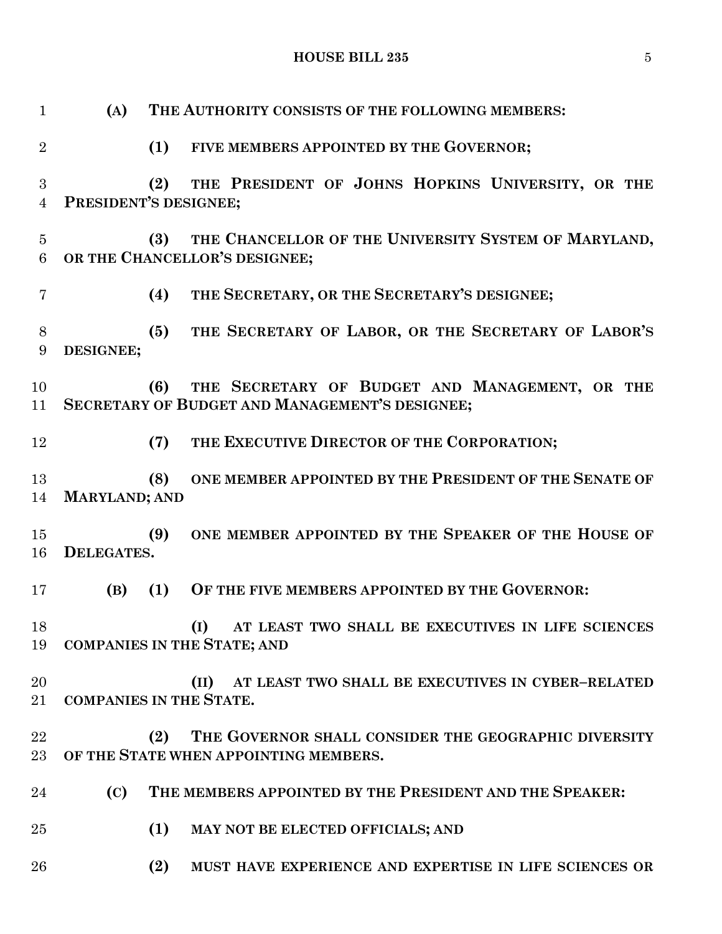| $\mathbf{1}$        | (A)                                                                                          | THE AUTHORITY CONSISTS OF THE FOLLOWING MEMBERS:                                                        |  |  |  |  |
|---------------------|----------------------------------------------------------------------------------------------|---------------------------------------------------------------------------------------------------------|--|--|--|--|
| $\overline{2}$      |                                                                                              | (1)<br>FIVE MEMBERS APPOINTED BY THE GOVERNOR;                                                          |  |  |  |  |
| 3<br>4              |                                                                                              | THE PRESIDENT OF JOHNS HOPKINS UNIVERSITY, OR THE<br>(2)<br>PRESIDENT'S DESIGNEE;                       |  |  |  |  |
| $\overline{5}$<br>6 | THE CHANCELLOR OF THE UNIVERSITY SYSTEM OF MARYLAND,<br>(3)<br>OR THE CHANCELLOR'S DESIGNEE; |                                                                                                         |  |  |  |  |
| $\overline{7}$      |                                                                                              | THE SECRETARY, OR THE SECRETARY'S DESIGNEE;<br>(4)                                                      |  |  |  |  |
| 8<br>9              | DESIGNEE;                                                                                    | THE SECRETARY OF LABOR, OR THE SECRETARY OF LABOR'S<br>(5)                                              |  |  |  |  |
| 10<br>11            |                                                                                              | THE SECRETARY OF BUDGET AND MANAGEMENT, OR THE<br>(6)<br>SECRETARY OF BUDGET AND MANAGEMENT'S DESIGNEE; |  |  |  |  |
| 12                  |                                                                                              | THE EXECUTIVE DIRECTOR OF THE CORPORATION;<br>(7)                                                       |  |  |  |  |
| 13<br>14            | <b>MARYLAND; AND</b>                                                                         | ONE MEMBER APPOINTED BY THE PRESIDENT OF THE SENATE OF<br>(8)                                           |  |  |  |  |
| 15<br>16            | <b>DELEGATES.</b>                                                                            | ONE MEMBER APPOINTED BY THE SPEAKER OF THE HOUSE OF<br>(9)                                              |  |  |  |  |
| 17                  | (B)                                                                                          | (1)<br>OF THE FIVE MEMBERS APPOINTED BY THE GOVERNOR:                                                   |  |  |  |  |
| 18                  |                                                                                              | (I) AT LEAST TWO SHALL BE EXECUTIVES IN LIFE SCIENCES<br>19 COMPANIES IN THE STATE; AND                 |  |  |  |  |
| 20<br>21            |                                                                                              | AT LEAST TWO SHALL BE EXECUTIVES IN CYBER-RELATED<br>(II)<br><b>COMPANIES IN THE STATE.</b>             |  |  |  |  |
| 22<br>23            |                                                                                              | THE GOVERNOR SHALL CONSIDER THE GEOGRAPHIC DIVERSITY<br>(2)<br>OF THE STATE WHEN APPOINTING MEMBERS.    |  |  |  |  |
| 24                  | (C)                                                                                          | THE MEMBERS APPOINTED BY THE PRESIDENT AND THE SPEAKER:                                                 |  |  |  |  |
| 25                  |                                                                                              | (1)<br>MAY NOT BE ELECTED OFFICIALS; AND                                                                |  |  |  |  |
| 26                  |                                                                                              | (2)<br>MUST HAVE EXPERIENCE AND EXPERTISE IN LIFE SCIENCES OR                                           |  |  |  |  |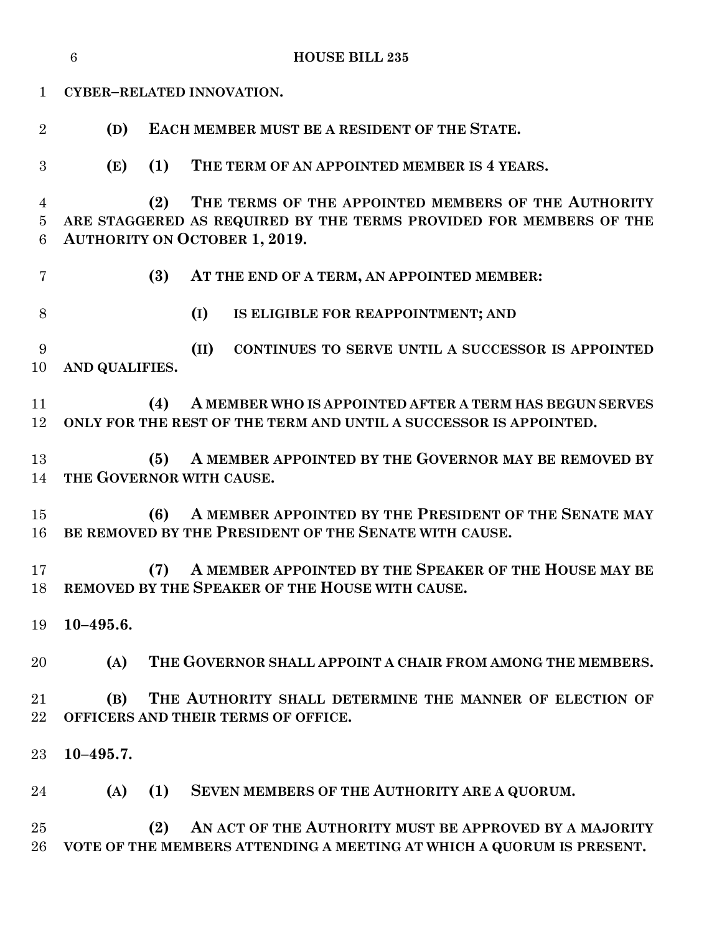|                          | <b>HOUSE BILL 235</b><br>6 |                                                                                                                                                                          |  |  |  |  |  |
|--------------------------|----------------------------|--------------------------------------------------------------------------------------------------------------------------------------------------------------------------|--|--|--|--|--|
| 1                        |                            | CYBER-RELATED INNOVATION.                                                                                                                                                |  |  |  |  |  |
| $\overline{2}$           | (D)                        | EACH MEMBER MUST BE A RESIDENT OF THE STATE.                                                                                                                             |  |  |  |  |  |
| 3                        | (E)                        | (1)<br>THE TERM OF AN APPOINTED MEMBER IS 4 YEARS.                                                                                                                       |  |  |  |  |  |
| 4<br>$\overline{5}$<br>6 |                            | THE TERMS OF THE APPOINTED MEMBERS OF THE AUTHORITY<br>(2)<br>ARE STAGGERED AS REQUIRED BY THE TERMS PROVIDED FOR MEMBERS OF THE<br><b>AUTHORITY ON OCTOBER 1, 2019.</b> |  |  |  |  |  |
| 7                        |                            | (3)<br>AT THE END OF A TERM, AN APPOINTED MEMBER:                                                                                                                        |  |  |  |  |  |
| 8                        |                            | (I)<br>IS ELIGIBLE FOR REAPPOINTMENT; AND                                                                                                                                |  |  |  |  |  |
| 9<br>10                  | AND QUALIFIES.             | (II)<br>CONTINUES TO SERVE UNTIL A SUCCESSOR IS APPOINTED                                                                                                                |  |  |  |  |  |
| 11<br>12                 |                            | (4)<br>A MEMBER WHO IS APPOINTED AFTER A TERM HAS BEGUN SERVES<br>ONLY FOR THE REST OF THE TERM AND UNTIL A SUCCESSOR IS APPOINTED.                                      |  |  |  |  |  |
| 13<br>14                 |                            | A MEMBER APPOINTED BY THE GOVERNOR MAY BE REMOVED BY<br>(5)<br>THE GOVERNOR WITH CAUSE.                                                                                  |  |  |  |  |  |
| 15<br>16                 |                            | A MEMBER APPOINTED BY THE PRESIDENT OF THE SENATE MAY<br>(6)<br>BE REMOVED BY THE PRESIDENT OF THE SENATE WITH CAUSE.                                                    |  |  |  |  |  |
| 17<br>18                 |                            | A MEMBER APPOINTED BY THE SPEAKER OF THE HOUSE MAY BE<br>(7)<br>REMOVED BY THE SPEAKER OF THE HOUSE WITH CAUSE.                                                          |  |  |  |  |  |
| 19                       | $10 - 495.6.$              |                                                                                                                                                                          |  |  |  |  |  |
| 20                       | (A)                        | THE GOVERNOR SHALL APPOINT A CHAIR FROM AMONG THE MEMBERS.                                                                                                               |  |  |  |  |  |
| 21<br>22                 | (B)                        | THE AUTHORITY SHALL DETERMINE THE MANNER OF ELECTION OF<br>OFFICERS AND THEIR TERMS OF OFFICE.                                                                           |  |  |  |  |  |
| $23\,$                   | $10 - 495.7.$              |                                                                                                                                                                          |  |  |  |  |  |
| 24                       | (A)                        | SEVEN MEMBERS OF THE AUTHORITY ARE A QUORUM.<br>(1)                                                                                                                      |  |  |  |  |  |
| 25<br>26                 |                            | AN ACT OF THE AUTHORITY MUST BE APPROVED BY A MAJORITY<br>(2)<br>VOTE OF THE MEMBERS ATTENDING A MEETING AT WHICH A QUORUM IS PRESENT.                                   |  |  |  |  |  |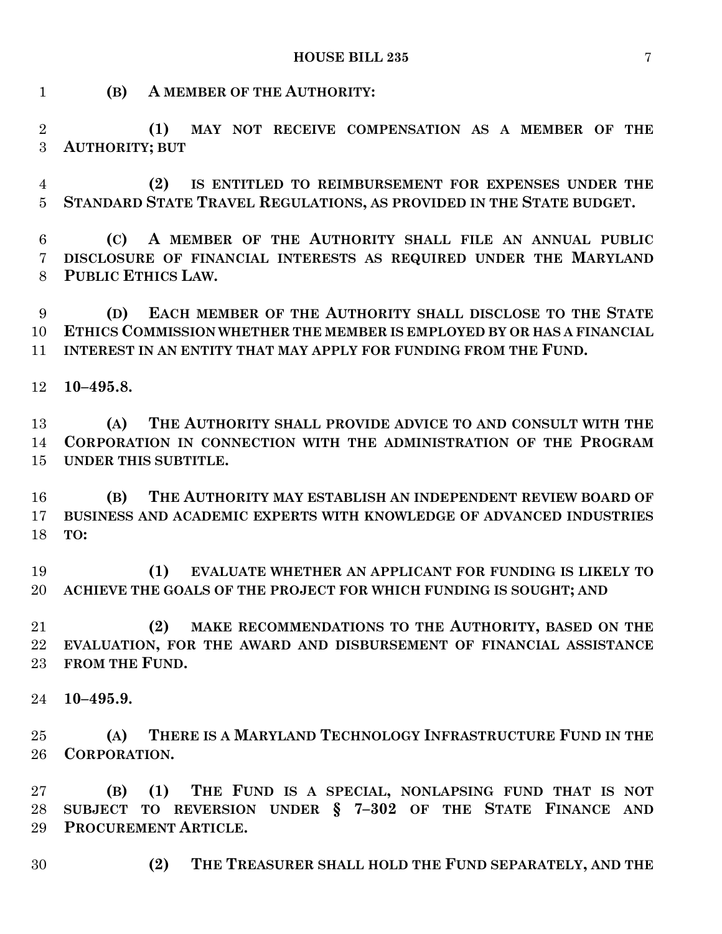**(B) A MEMBER OF THE AUTHORITY:**

 **(1) MAY NOT RECEIVE COMPENSATION AS A MEMBER OF THE AUTHORITY; BUT**

 **(2) IS ENTITLED TO REIMBURSEMENT FOR EXPENSES UNDER THE STANDARD STATE TRAVEL REGULATIONS, AS PROVIDED IN THE STATE BUDGET.**

 **(C) A MEMBER OF THE AUTHORITY SHALL FILE AN ANNUAL PUBLIC DISCLOSURE OF FINANCIAL INTERESTS AS REQUIRED UNDER THE MARYLAND PUBLIC ETHICS LAW.**

 **(D) EACH MEMBER OF THE AUTHORITY SHALL DISCLOSE TO THE STATE ETHICS COMMISSION WHETHER THE MEMBER IS EMPLOYED BY OR HAS A FINANCIAL INTEREST IN AN ENTITY THAT MAY APPLY FOR FUNDING FROM THE FUND.**

**10–495.8.**

 **(A) THE AUTHORITY SHALL PROVIDE ADVICE TO AND CONSULT WITH THE CORPORATION IN CONNECTION WITH THE ADMINISTRATION OF THE PROGRAM UNDER THIS SUBTITLE.**

 **(B) THE AUTHORITY MAY ESTABLISH AN INDEPENDENT REVIEW BOARD OF BUSINESS AND ACADEMIC EXPERTS WITH KNOWLEDGE OF ADVANCED INDUSTRIES TO:**

 **(1) EVALUATE WHETHER AN APPLICANT FOR FUNDING IS LIKELY TO ACHIEVE THE GOALS OF THE PROJECT FOR WHICH FUNDING IS SOUGHT; AND**

 **(2) MAKE RECOMMENDATIONS TO THE AUTHORITY, BASED ON THE EVALUATION, FOR THE AWARD AND DISBURSEMENT OF FINANCIAL ASSISTANCE FROM THE FUND.**

**10–495.9.**

 **(A) THERE IS A MARYLAND TECHNOLOGY INFRASTRUCTURE FUND IN THE CORPORATION.**

 **(B) (1) THE FUND IS A SPECIAL, NONLAPSING FUND THAT IS NOT SUBJECT TO REVERSION UNDER § 7–302 OF THE STATE FINANCE AND PROCUREMENT ARTICLE.**

**(2) THE TREASURER SHALL HOLD THE FUND SEPARATELY, AND THE**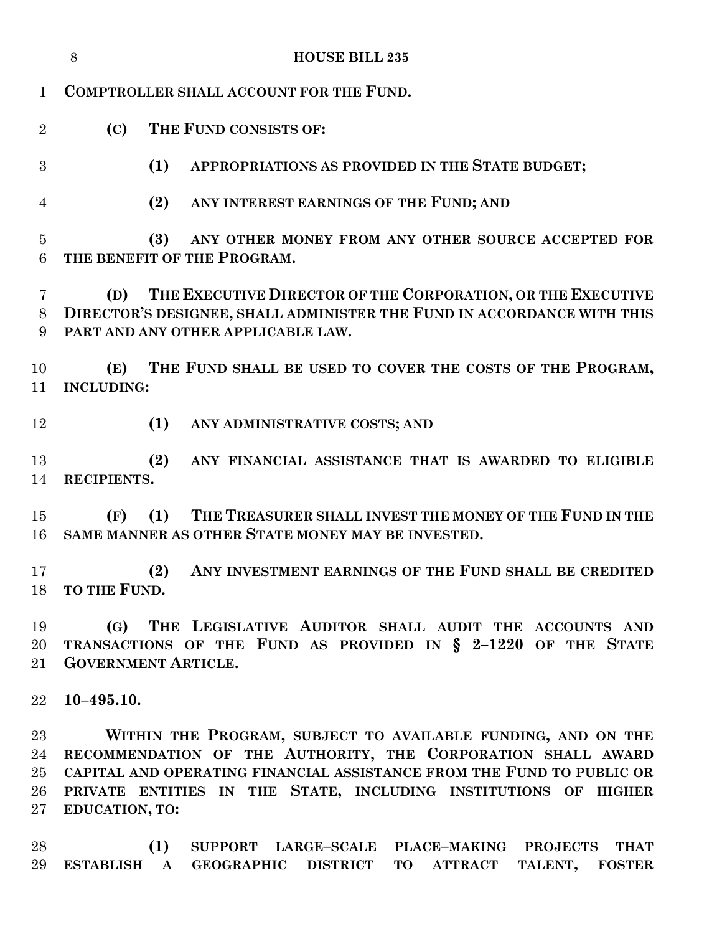|                     | 8                                                                                                                                                                                  | <b>HOUSE BILL 235</b>                                                                                                                               |  |  |  |  |
|---------------------|------------------------------------------------------------------------------------------------------------------------------------------------------------------------------------|-----------------------------------------------------------------------------------------------------------------------------------------------------|--|--|--|--|
| $\mathbf 1$         |                                                                                                                                                                                    | COMPTROLLER SHALL ACCOUNT FOR THE FUND.                                                                                                             |  |  |  |  |
| $\overline{2}$      | (C)                                                                                                                                                                                | THE FUND CONSISTS OF:                                                                                                                               |  |  |  |  |
| 3                   |                                                                                                                                                                                    | (1)<br>APPROPRIATIONS AS PROVIDED IN THE STATE BUDGET;                                                                                              |  |  |  |  |
| $\overline{4}$      |                                                                                                                                                                                    | (2)<br>ANY INTEREST EARNINGS OF THE FUND; AND                                                                                                       |  |  |  |  |
| $\overline{5}$<br>6 |                                                                                                                                                                                    | (3)<br>ANY OTHER MONEY FROM ANY OTHER SOURCE ACCEPTED FOR<br>THE BENEFIT OF THE PROGRAM.                                                            |  |  |  |  |
| 7<br>8<br>9         | THE EXECUTIVE DIRECTOR OF THE CORPORATION, OR THE EXECUTIVE<br>(D)<br>DIRECTOR'S DESIGNEE, SHALL ADMINISTER THE FUND IN ACCORDANCE WITH THIS<br>PART AND ANY OTHER APPLICABLE LAW. |                                                                                                                                                     |  |  |  |  |
| 10<br>11            | (E)<br><b>INCLUDING:</b>                                                                                                                                                           | THE FUND SHALL BE USED TO COVER THE COSTS OF THE PROGRAM,                                                                                           |  |  |  |  |
| 12                  |                                                                                                                                                                                    | (1)<br>ANY ADMINISTRATIVE COSTS; AND                                                                                                                |  |  |  |  |
| 13<br>14            | RECIPIENTS.                                                                                                                                                                        | (2)<br>ANY FINANCIAL ASSISTANCE THAT IS AWARDED TO ELIGIBLE                                                                                         |  |  |  |  |
| 15<br>16            | (F)                                                                                                                                                                                | THE TREASURER SHALL INVEST THE MONEY OF THE FUND IN THE<br>(1)<br>SAME MANNER AS OTHER STATE MONEY MAY BE INVESTED.                                 |  |  |  |  |
| 17                  | 18 TO THE FUND.                                                                                                                                                                    | ANY INVESTMENT EARNINGS OF THE FUND SHALL BE CREDITED<br>(2)                                                                                        |  |  |  |  |
| 19<br>20<br>21      | (G)                                                                                                                                                                                | THE LEGISLATIVE AUDITOR SHALL AUDIT THE ACCOUNTS AND<br>TRANSACTIONS OF THE FUND AS PROVIDED IN § 2-1220 OF THE STATE<br><b>GOVERNMENT ARTICLE.</b> |  |  |  |  |
| 22                  | $10 - 495.10.$                                                                                                                                                                     |                                                                                                                                                     |  |  |  |  |
| 23                  |                                                                                                                                                                                    | WITHIN THE PROGRAM, SUBJECT TO AVAILABLE FUNDING, AND ON THE                                                                                        |  |  |  |  |
| 24                  |                                                                                                                                                                                    | RECOMMENDATION OF THE AUTHORITY, THE CORPORATION SHALL AWARD                                                                                        |  |  |  |  |
| 25                  |                                                                                                                                                                                    | CAPITAL AND OPERATING FINANCIAL ASSISTANCE FROM THE FUND TO PUBLIC OR                                                                               |  |  |  |  |
| $26\,$              |                                                                                                                                                                                    | PRIVATE ENTITIES IN THE STATE, INCLUDING INSTITUTIONS OF HIGHER                                                                                     |  |  |  |  |
| $27\,$              | EDUCATION, TO:                                                                                                                                                                     |                                                                                                                                                     |  |  |  |  |
| 98                  |                                                                                                                                                                                    | (1) SUPPORT LARCE-SCALE DIACE-MAKING PROJECTS THAT                                                                                                  |  |  |  |  |

 **(1) SUPPORT LARGE–SCALE PLACE–MAKING PROJECTS THAT ESTABLISH A GEOGRAPHIC DISTRICT TO ATTRACT TALENT, FOSTER**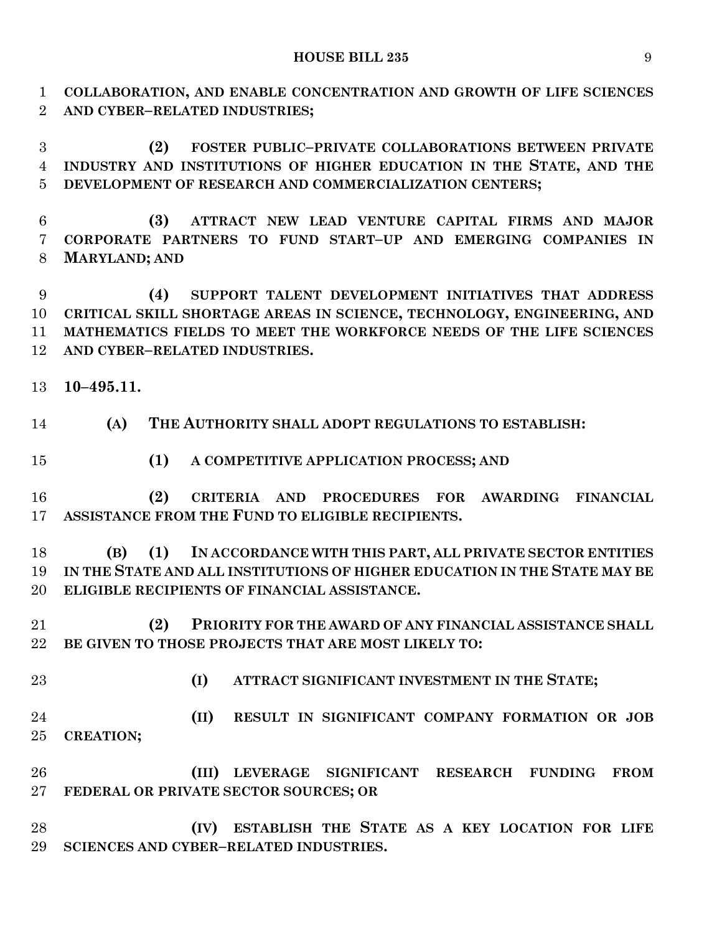**COLLABORATION, AND ENABLE CONCENTRATION AND GROWTH OF LIFE SCIENCES AND CYBER–RELATED INDUSTRIES;**

 **(2) FOSTER PUBLIC–PRIVATE COLLABORATIONS BETWEEN PRIVATE INDUSTRY AND INSTITUTIONS OF HIGHER EDUCATION IN THE STATE, AND THE DEVELOPMENT OF RESEARCH AND COMMERCIALIZATION CENTERS;**

 **(3) ATTRACT NEW LEAD VENTURE CAPITAL FIRMS AND MAJOR CORPORATE PARTNERS TO FUND START–UP AND EMERGING COMPANIES IN MARYLAND; AND**

 **(4) SUPPORT TALENT DEVELOPMENT INITIATIVES THAT ADDRESS CRITICAL SKILL SHORTAGE AREAS IN SCIENCE, TECHNOLOGY, ENGINEERING, AND MATHEMATICS FIELDS TO MEET THE WORKFORCE NEEDS OF THE LIFE SCIENCES AND CYBER–RELATED INDUSTRIES.**

- **10–495.11.**
- **(A) THE AUTHORITY SHALL ADOPT REGULATIONS TO ESTABLISH:**
- **(1) A COMPETITIVE APPLICATION PROCESS; AND**
- **(2) CRITERIA AND PROCEDURES FOR AWARDING FINANCIAL ASSISTANCE FROM THE FUND TO ELIGIBLE RECIPIENTS.**

 **(B) (1) IN ACCORDANCE WITH THIS PART, ALL PRIVATE SECTOR ENTITIES IN THE STATE AND ALL INSTITUTIONS OF HIGHER EDUCATION IN THE STATE MAY BE ELIGIBLE RECIPIENTS OF FINANCIAL ASSISTANCE.**

 **(2) PRIORITY FOR THE AWARD OF ANY FINANCIAL ASSISTANCE SHALL BE GIVEN TO THOSE PROJECTS THAT ARE MOST LIKELY TO:**

- 
- **(I) ATTRACT SIGNIFICANT INVESTMENT IN THE STATE;**

 **(II) RESULT IN SIGNIFICANT COMPANY FORMATION OR JOB CREATION;**

 **(III) LEVERAGE SIGNIFICANT RESEARCH FUNDING FROM FEDERAL OR PRIVATE SECTOR SOURCES; OR**

 **(IV) ESTABLISH THE STATE AS A KEY LOCATION FOR LIFE SCIENCES AND CYBER–RELATED INDUSTRIES.**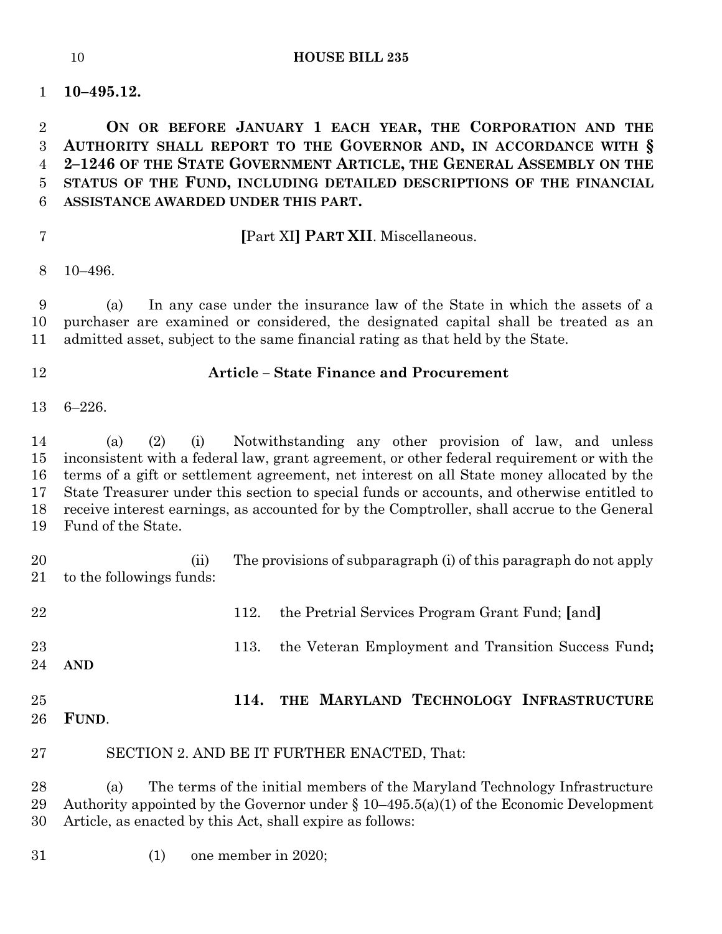**10–495.12.**

 **ON OR BEFORE JANUARY 1 EACH YEAR, THE CORPORATION AND THE AUTHORITY SHALL REPORT TO THE GOVERNOR AND, IN ACCORDANCE WITH § 2–1246 OF THE STATE GOVERNMENT ARTICLE, THE GENERAL ASSEMBLY ON THE STATUS OF THE FUND, INCLUDING DETAILED DESCRIPTIONS OF THE FINANCIAL ASSISTANCE AWARDED UNDER THIS PART.**

# **[**Part XI**] PART XII**. Miscellaneous.

10–496.

 (a) In any case under the insurance law of the State in which the assets of a purchaser are examined or considered, the designated capital shall be treated as an admitted asset, subject to the same financial rating as that held by the State.

# **Article – State Finance and Procurement**

6–226.

 (a) (2) (i) Notwithstanding any other provision of law, and unless inconsistent with a federal law, grant agreement, or other federal requirement or with the terms of a gift or settlement agreement, net interest on all State money allocated by the State Treasurer under this section to special funds or accounts, and otherwise entitled to receive interest earnings, as accounted for by the Comptroller, shall accrue to the General Fund of the State.

 (ii) The provisions of subparagraph (i) of this paragraph do not apply to the followings funds:

| 22       |       |      | 112. the Pretrial Services Program Grant Fund; [and]     |
|----------|-------|------|----------------------------------------------------------|
| 23<br>24 | AND   |      | 113. the Veteran Employment and Transition Success Fund; |
| 25<br>26 | FUND. | 114. | THE MARYLAND TECHNOLOGY INFRASTRUCTURE                   |

SECTION 2. AND BE IT FURTHER ENACTED, That:

 (a) The terms of the initial members of the Maryland Technology Infrastructure 29 Authority appointed by the Governor under  $\S 10-495.5(a)(1)$  of the Economic Development Article, as enacted by this Act, shall expire as follows:

(1) one member in 2020;